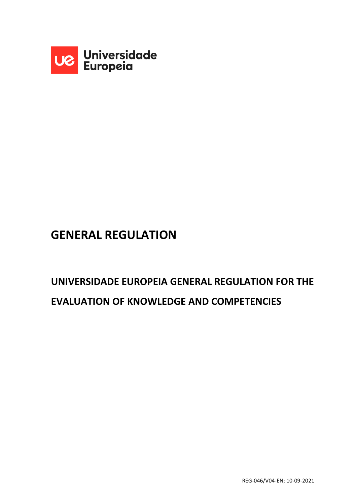

# **GENERAL REGULATION**

# **UNIVERSIDADE EUROPEIA GENERAL REGULATION FOR THE EVALUATION OF KNOWLEDGE AND COMPETENCIES**

REG-046/V04-EN; 10-09-2021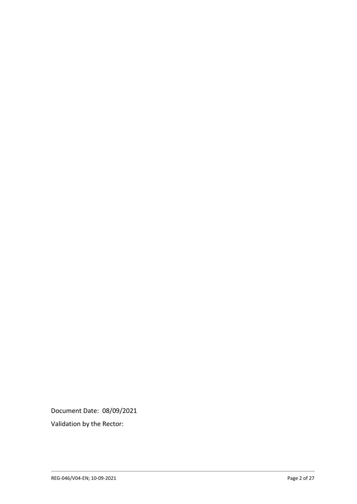Document Date: 08/09/2021

Validation by the Rector: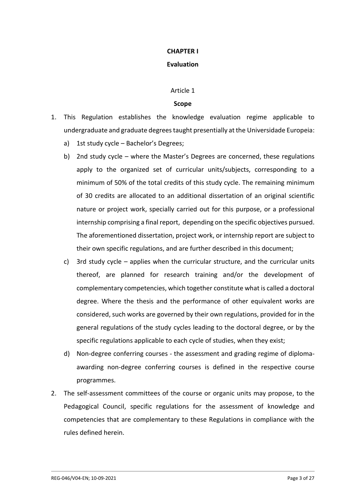#### **CHAPTER I**

# **Evaluation**

#### Article 1

#### **Scope**

- 1. This Regulation establishes the knowledge evaluation regime applicable to undergraduate and graduate degrees taught presentially at the Universidade Europeia:
	- a) 1st study cycle Bachelor's Degrees;
	- b) 2nd study cycle where the Master's Degrees are concerned, these regulations apply to the organized set of curricular units/subjects, corresponding to a minimum of 50% of the total credits of this study cycle. The remaining minimum of 30 credits are allocated to an additional dissertation of an original scientific nature or project work, specially carried out for this purpose, or a professional internship comprising a final report, depending on the specific objectives pursued. The aforementioned dissertation, project work, or internship report are subject to their own specific regulations, and are further described in this document;
	- c) 3rd study cycle applies when the curricular structure, and the curricular units thereof, are planned for research training and/or the development of complementary competencies, which together constitute what is called a doctoral degree. Where the thesis and the performance of other equivalent works are considered, such works are governed by their own regulations, provided for in the general regulations of the study cycles leading to the doctoral degree, or by the specific regulations applicable to each cycle of studies, when they exist;
	- d) Non-degree conferring courses the assessment and grading regime of diplomaawarding non-degree conferring courses is defined in the respective course programmes.
- 2. The self-assessment committees of the course or organic units may propose, to the Pedagogical Council, specific regulations for the assessment of knowledge and competencies that are complementary to these Regulations in compliance with the rules defined herein.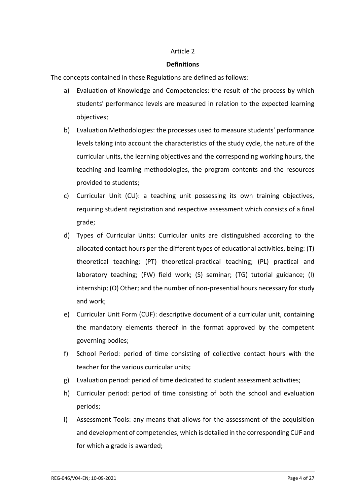#### **Definitions**

The concepts contained in these Regulations are defined as follows:

- a) Evaluation of Knowledge and Competencies: the result of the process by which students' performance levels are measured in relation to the expected learning objectives;
- b) Evaluation Methodologies: the processes used to measure students' performance levels taking into account the characteristics of the study cycle, the nature of the curricular units, the learning objectives and the corresponding working hours, the teaching and learning methodologies, the program contents and the resources provided to students;
- c) Curricular Unit (CU): a teaching unit possessing its own training objectives, requiring student registration and respective assessment which consists of a final grade;
- d) Types of Curricular Units: Curricular units are distinguished according to the allocated contact hours per the different types of educational activities, being: (T) theoretical teaching; (PT) theoretical-practical teaching; (PL) practical and laboratory teaching; (FW) field work; (S) seminar; (TG) tutorial guidance; (I) internship; (O) Other; and the number of non-presential hours necessary for study and work;
- e) Curricular Unit Form (CUF): descriptive document of a curricular unit, containing the mandatory elements thereof in the format approved by the competent governing bodies;
- f) School Period: period of time consisting of collective contact hours with the teacher for the various curricular units;
- g) Evaluation period: period of time dedicated to student assessment activities;
- h) Curricular period: period of time consisting of both the school and evaluation periods;
- i) Assessment Tools: any means that allows for the assessment of the acquisition and development of competencies, which is detailed in the corresponding CUF and for which a grade is awarded;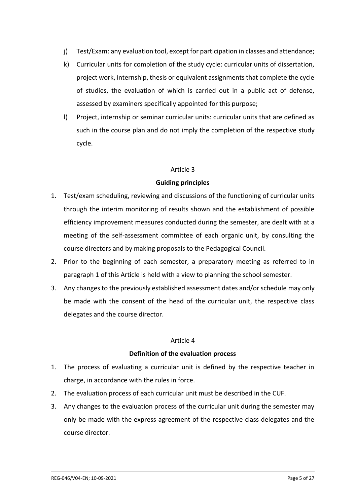- j) Test/Exam: any evaluation tool, except for participation in classes and attendance;
- k) Curricular units for completion of the study cycle: curricular units of dissertation, project work, internship, thesis or equivalent assignments that complete the cycle of studies, the evaluation of which is carried out in a public act of defense, assessed by examiners specifically appointed for this purpose;
- l) Project, internship or seminar curricular units: curricular units that are defined as such in the course plan and do not imply the completion of the respective study cycle.

# **Guiding principles**

- 1. Test/exam scheduling, reviewing and discussions of the functioning of curricular units through the interim monitoring of results shown and the establishment of possible efficiency improvement measures conducted during the semester, are dealt with at a meeting of the self-assessment committee of each organic unit, by consulting the course directors and by making proposals to the Pedagogical Council.
- 2. Prior to the beginning of each semester, a preparatory meeting as referred to in paragraph 1 of this Article is held with a view to planning the school semester.
- 3. Any changes to the previously established assessment dates and/or schedule may only be made with the consent of the head of the curricular unit, the respective class delegates and the course director.

#### Article 4

#### **Definition of the evaluation process**

- 1. The process of evaluating a curricular unit is defined by the respective teacher in charge, in accordance with the rules in force.
- 2. The evaluation process of each curricular unit must be described in the CUF.
- 3. Any changes to the evaluation process of the curricular unit during the semester may only be made with the express agreement of the respective class delegates and the course director.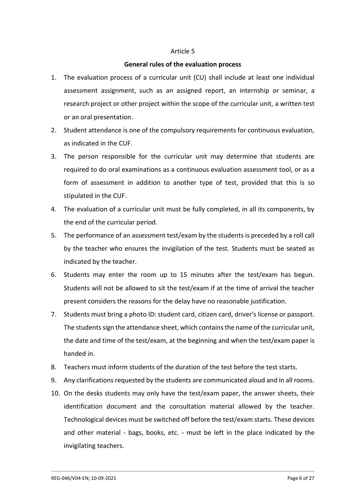#### **General rules of the evaluation process**

- 1. The evaluation process of a curricular unit (CU) shall include at least one individual assessment assignment, such as an assigned report, an internship or seminar, a research project or other project within the scope of the curricular unit, a written test or an oral presentation.
- 2. Student attendance is one of the compulsory requirements for continuous evaluation, as indicated in the CUF.
- 3. The person responsible for the curricular unit may determine that students are required to do oral examinations as a continuous evaluation assessment tool, or as a form of assessment in addition to another type of test, provided that this is so stipulated in the CUF.
- 4. The evaluation of a curricular unit must be fully completed, in all its components, by the end of the curricular period.
- 5. The performance of an assessment test/exam by the students is preceded by a roll call by the teacher who ensures the invigilation of the test. Students must be seated as indicated by the teacher.
- 6. Students may enter the room up to 15 minutes after the test/exam has begun. Students will not be allowed to sit the test/exam if at the time of arrival the teacher present considers the reasons for the delay have no reasonable justification.
- 7. Students must bring a photo ID: student card, citizen card, driver's license or passport. The students sign the attendance sheet, which contains the name of the curricular unit, the date and time of the test/exam, at the beginning and when the test/exam paper is handed in.
- 8. Teachers must inform students of the duration of the test before the test starts.
- 9. Any clarifications requested by the students are communicated aloud and in all rooms.
- 10. On the desks students may only have the test/exam paper, the answer sheets, their identification document and the consultation material allowed by the teacher. Technological devices must be switched off before the test/exam starts. These devices and other material - bags, books, etc. - must be left in the place indicated by the invigilating teachers.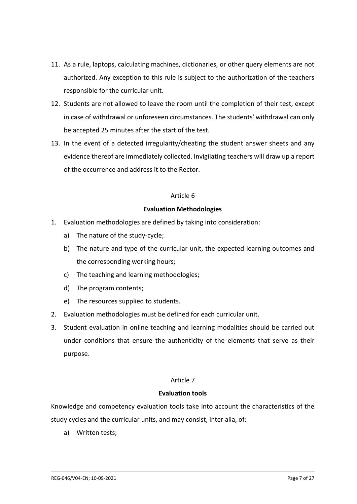- 11. As a rule, laptops, calculating machines, dictionaries, or other query elements are not authorized. Any exception to this rule is subject to the authorization of the teachers responsible for the curricular unit.
- 12. Students are not allowed to leave the room until the completion of their test, except in case of withdrawal or unforeseen circumstances. The students' withdrawal can only be accepted 25 minutes after the start of the test.
- 13. In the event of a detected irregularity/cheating the student answer sheets and any evidence thereof are immediately collected. Invigilating teachers will draw up a report of the occurrence and address it to the Rector.

# **Evaluation Methodologies**

- 1. Evaluation methodologies are defined by taking into consideration:
	- a) The nature of the study-cycle;
	- b) The nature and type of the curricular unit, the expected learning outcomes and the corresponding working hours;
	- c) The teaching and learning methodologies;
	- d) The program contents;
	- e) The resources supplied to students.
- 2. Evaluation methodologies must be defined for each curricular unit.
- 3. Student evaluation in online teaching and learning modalities should be carried out under conditions that ensure the authenticity of the elements that serve as their purpose.

# Article 7

# **Evaluation tools**

Knowledge and competency evaluation tools take into account the characteristics of the study cycles and the curricular units, and may consist, inter alia, of:

a) Written tests;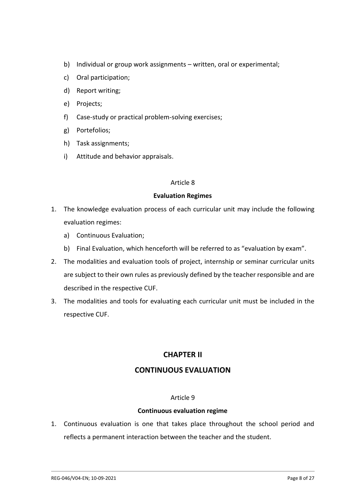- b) Individual or group work assignments written, oral or experimental;
- c) Oral participation;
- d) Report writing;
- e) Projects;
- f) Case-study or practical problem-solving exercises;
- g) Portefolios;
- h) Task assignments;
- i) Attitude and behavior appraisals.

#### **Evaluation Regimes**

- 1. The knowledge evaluation process of each curricular unit may include the following evaluation regimes:
	- a) Continuous Evaluation;
	- b) Final Evaluation, which henceforth will be referred to as "evaluation by exam".
- 2. The modalities and evaluation tools of project, internship or seminar curricular units are subject to their own rules as previously defined by the teacher responsible and are described in the respective CUF.
- 3. The modalities and tools for evaluating each curricular unit must be included in the respective CUF.

# **CHAPTER II**

# **CONTINUOUS EVALUATION**

#### Article 9

#### **Continuous evaluation regime**

1. Continuous evaluation is one that takes place throughout the school period and reflects a permanent interaction between the teacher and the student.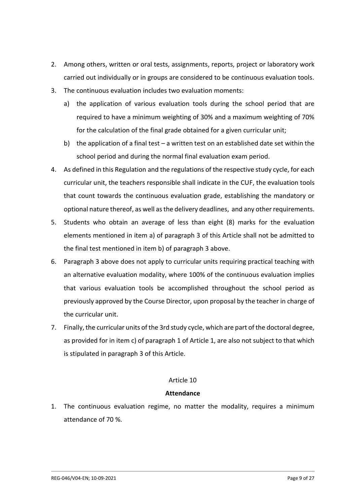- 2. Among others, written or oral tests, assignments, reports, project or laboratory work carried out individually or in groups are considered to be continuous evaluation tools.
- 3. The continuous evaluation includes two evaluation moments:
	- a) the application of various evaluation tools during the school period that are required to have a minimum weighting of 30% and a maximum weighting of 70% for the calculation of the final grade obtained for a given curricular unit;
	- b) the application of a final test a written test on an established date set within the school period and during the normal final evaluation exam period.
- 4. As defined in this Regulation and the regulations of the respective study cycle, for each curricular unit, the teachers responsible shall indicate in the CUF, the evaluation tools that count towards the continuous evaluation grade, establishing the mandatory or optional nature thereof, as well as the delivery deadlines, and any other requirements.
- 5. Students who obtain an average of less than eight (8) marks for the evaluation elements mentioned in item a) of paragraph 3 of this Article shall not be admitted to the final test mentioned in item b) of paragraph 3 above.
- 6. Paragraph 3 above does not apply to curricular units requiring practical teaching with an alternative evaluation modality, where 100% of the continuous evaluation implies that various evaluation tools be accomplished throughout the school period as previously approved by the Course Director, upon proposal by the teacher in charge of the curricular unit.
- 7. Finally, the curricular units of the 3rd study cycle, which are part of the doctoral degree, as provided for in item c) of paragraph 1 of Article 1, are also not subject to that which is stipulated in paragraph 3 of this Article.

# **Attendance**

1. The continuous evaluation regime, no matter the modality, requires a minimum attendance of 70 %.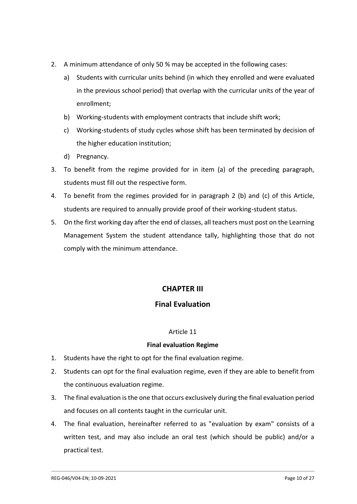- 2. A minimum attendance of only 50 % may be accepted in the following cases:
	- a) Students with curricular units behind (in which they enrolled and were evaluated in the previous school period) that overlap with the curricular units of the year of enrollment;
	- b) Working-students with employment contracts that include shift work;
	- c) Working-students of study cycles whose shift has been terminated by decision of the higher education institution;
	- d) Pregnancy.
- 3. To benefit from the regime provided for in item (a) of the preceding paragraph, students must fill out the respective form.
- 4. To benefit from the regimes provided for in paragraph 2 (b) and (c) of this Article, students are required to annually provide proof of their working-student status.
- 5. On the first working day after the end of classes, all teachers must post on the Learning Management System the student attendance tally, highlighting those that do not comply with the minimum attendance.

# **CHAPTER III**

# **Final Evaluation**

# Article 11

# **Final evaluation Regime**

- 1. Students have the right to opt for the final evaluation regime.
- 2. Students can opt for the final evaluation regime, even if they are able to benefit from the continuous evaluation regime.
- 3. The final evaluation is the one that occurs exclusively during the final evaluation period and focuses on all contents taught in the curricular unit.
- 4. The final evaluation, hereinafter referred to as "evaluation by exam" consists of a written test, and may also include an oral test (which should be public) and/or a practical test.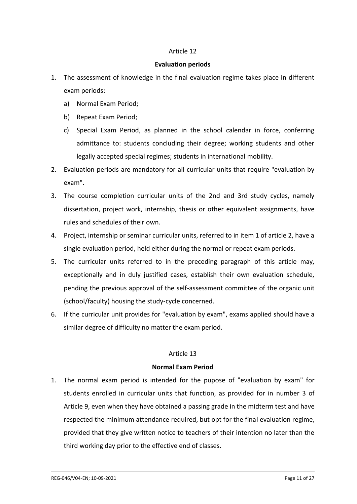#### **Evaluation periods**

- 1. The assessment of knowledge in the final evaluation regime takes place in different exam periods:
	- a) Normal Exam Period;
	- b) Repeat Exam Period;
	- c) Special Exam Period, as planned in the school calendar in force, conferring admittance to: students concluding their degree; working students and other legally accepted special regimes; students in international mobility.
- 2. Evaluation periods are mandatory for all curricular units that require "evaluation by exam".
- 3. The course completion curricular units of the 2nd and 3rd study cycles, namely dissertation, project work, internship, thesis or other equivalent assignments, have rules and schedules of their own.
- 4. Project, internship or seminar curricular units, referred to in item 1 of article 2, have a single evaluation period, held either during the normal or repeat exam periods.
- 5. The curricular units referred to in the preceding paragraph of this article may, exceptionally and in duly justified cases, establish their own evaluation schedule, pending the previous approval of the self-assessment committee of the organic unit (school/faculty) housing the study-cycle concerned.
- 6. If the curricular unit provides for "evaluation by exam", exams applied should have a similar degree of difficulty no matter the exam period.

# Article 13

# **Normal Exam Period**

1. The normal exam period is intended for the pupose of "evaluation by exam" for students enrolled in curricular units that function, as provided for in number 3 of Article 9, even when they have obtained a passing grade in the midterm test and have respected the minimum attendance required, but opt for the final evaluation regime, provided that they give written notice to teachers of their intention no later than the third working day prior to the effective end of classes.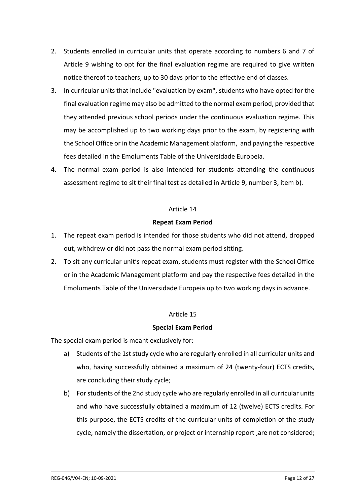- 2. Students enrolled in curricular units that operate according to numbers 6 and 7 of Article 9 wishing to opt for the final evaluation regime are required to give written notice thereof to teachers, up to 30 days prior to the effective end of classes.
- 3. In curricular units that include "evaluation by exam", students who have opted for the final evaluation regime may also be admitted to the normal exam period, provided that they attended previous school periods under the continuous evaluation regime. This may be accomplished up to two working days prior to the exam, by registering with the School Office or in the Academic Management platform, and paying the respective fees detailed in the Emoluments Table of the Universidade Europeia.
- 4. The normal exam period is also intended for students attending the continuous assessment regime to sit their final test as detailed in Article 9, number 3, item b).

#### **Repeat Exam Period**

- 1. The repeat exam period is intended for those students who did not attend, dropped out, withdrew or did not pass the normal exam period sitting.
- 2. To sit any curricular unit's repeat exam, students must register with the School Office or in the Academic Management platform and pay the respective fees detailed in the Emoluments Table of the Universidade Europeia up to two working days in advance.

# Article 15

# **Special Exam Period**

The special exam period is meant exclusively for:

- a) Students of the 1st study cycle who are regularly enrolled in all curricular units and who, having successfully obtained a maximum of 24 (twenty-four) ECTS credits, are concluding their study cycle;
- b) For students of the 2nd study cycle who are regularly enrolled in all curricular units and who have successfully obtained a maximum of 12 (twelve) ECTS credits. For this purpose, the ECTS credits of the curricular units of completion of the study cycle, namely the dissertation, or project or internship report ,are not considered;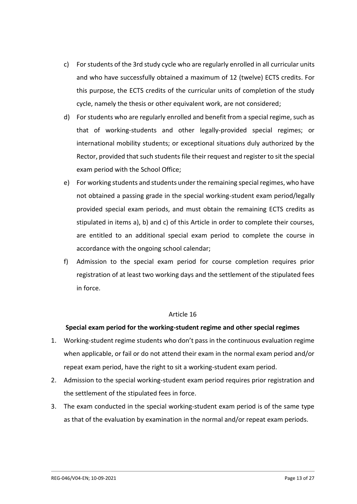- c) For students of the 3rd study cycle who are regularly enrolled in all curricular units and who have successfully obtained a maximum of 12 (twelve) ECTS credits. For this purpose, the ECTS credits of the curricular units of completion of the study cycle, namely the thesis or other equivalent work, are not considered;
- d) For students who are regularly enrolled and benefit from a special regime, such as that of working-students and other legally-provided special regimes; or international mobility students; or exceptional situations duly authorized by the Rector, provided that such students file their request and register to sit the special exam period with the School Office;
- e) For working students and students under the remaining special regimes, who have not obtained a passing grade in the special working-student exam period/legally provided special exam periods, and must obtain the remaining ECTS credits as stipulated in items a), b) and c) of this Article in order to complete their courses, are entitled to an additional special exam period to complete the course in accordance with the ongoing school calendar;
- f) Admission to the special exam period for course completion requires prior registration of at least two working days and the settlement of the stipulated fees in force.

# **Special exam period for the working-student regime and other special regimes**

- 1. Working-student regime students who don't pass in the continuous evaluation regime when applicable, or fail or do not attend their exam in the normal exam period and/or repeat exam period, have the right to sit a working-student exam period.
- 2. Admission to the special working-student exam period requires prior registration and the settlement of the stipulated fees in force.
- 3. The exam conducted in the special working-student exam period is of the same type as that of the evaluation by examination in the normal and/or repeat exam periods.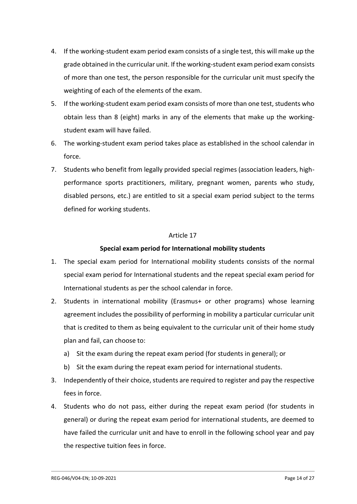- 4. If the working-student exam period exam consists of a single test, this will make up the grade obtained in the curricular unit. If the working-student exam period exam consists of more than one test, the person responsible for the curricular unit must specify the weighting of each of the elements of the exam.
- 5. If the working-student exam period exam consists of more than one test, students who obtain less than 8 (eight) marks in any of the elements that make up the workingstudent exam will have failed.
- 6. The working-student exam period takes place as established in the school calendar in force.
- 7. Students who benefit from legally provided special regimes (association leaders, highperformance sports practitioners, military, pregnant women, parents who study, disabled persons, etc.) are entitled to sit a special exam period subject to the terms defined for working students.

# **Special exam period for International mobility students**

- 1. The special exam period for International mobility students consists of the normal special exam period for International students and the repeat special exam period for International students as per the school calendar in force.
- 2. Students in international mobility (Erasmus+ or other programs) whose learning agreement includes the possibility of performing in mobility a particular curricular unit that is credited to them as being equivalent to the curricular unit of their home study plan and fail, can choose to:
	- a) Sit the exam during the repeat exam period (for students in general); or
	- b) Sit the exam during the repeat exam period for international students.
- 3. Independently of their choice, students are required to register and pay the respective fees in force.
- 4. Students who do not pass, either during the repeat exam period (for students in general) or during the repeat exam period for international students, are deemed to have failed the curricular unit and have to enroll in the following school year and pay the respective tuition fees in force.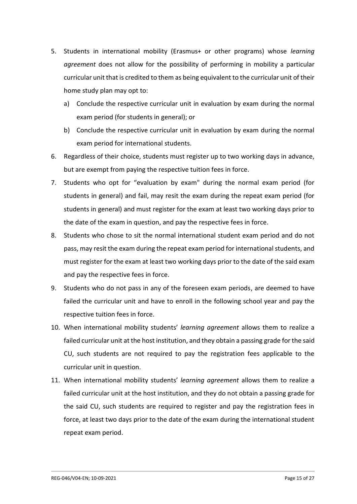- 5. Students in international mobility (Erasmus+ or other programs) whose *learning agreement* does not allow for the possibility of performing in mobility a particular curricular unit that is credited to them as being equivalent to the curricular unit of their home study plan may opt to:
	- a) Conclude the respective curricular unit in evaluation by exam during the normal exam period (for students in general); or
	- b) Conclude the respective curricular unit in evaluation by exam during the normal exam period for international students.
- 6. Regardless of their choice, students must register up to two working days in advance, but are exempt from paying the respective tuition fees in force.
- 7. Students who opt for "evaluation by exam" during the normal exam period (for students in general) and fail, may resit the exam during the repeat exam period (for students in general) and must register for the exam at least two working days prior to the date of the exam in question, and pay the respective fees in force.
- 8. Students who chose to sit the normal international student exam period and do not pass, may resit the exam during the repeat exam period for international students, and must register for the exam at least two working days prior to the date of the said exam and pay the respective fees in force.
- 9. Students who do not pass in any of the foreseen exam periods, are deemed to have failed the curricular unit and have to enroll in the following school year and pay the respective tuition fees in force.
- 10. When international mobility students' *learning agreement* allows them to realize a failed curricular unit at the host institution, and they obtain a passing grade for the said CU, such students are not required to pay the registration fees applicable to the curricular unit in question.
- 11. When international mobility students' *learning agreement* allows them to realize a failed curricular unit at the host institution, and they do not obtain a passing grade for the said CU, such students are required to register and pay the registration fees in force, at least two days prior to the date of the exam during the international student repeat exam period.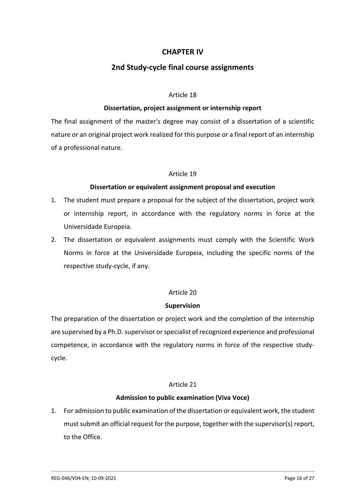# **CHAPTER IV**

# **2nd Study-cycle final course assignments**

#### Article 18

# **Dissertation, project assignment or internship report**

The final assignment of the master's degree may consist of a dissertation of a scientific nature or an original project work realized for this purpose or a final report of an internship of a professional nature.

# Article 19

#### **Dissertation or equivalent assignment proposal and execution**

- 1. The student must prepare a proposal for the subject of the dissertation, project work or internship report, in accordance with the regulatory norms in force at the Universidade Europeia.
- 2. The dissertation or equivalent assignments must comply with the Scientific Work Norms in force at the Universidade Europeia, including the specific norms of the respective study-cycle, if any.

# Article 20

#### **Supervision**

The preparation of the dissertation or project work and the completion of the internship are supervised by a Ph.D. supervisor or specialist of recognized experience and professional competence, in accordance with the regulatory norms in force of the respective studycycle.

#### Article 21

#### **Admission to public examination (Viva Voce)**

1. For admission to public examination of the dissertation or equivalent work, the student must submit an official request for the purpose, together with the supervisor(s) report, to the Office.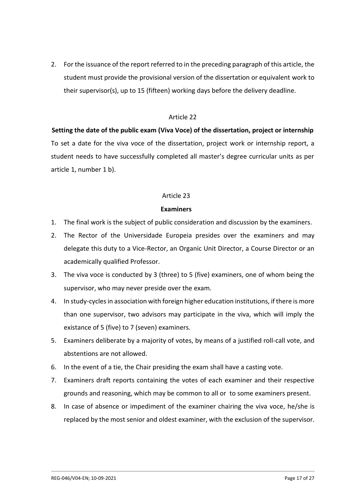2. For the issuance of the report referred to in the preceding paragraph of this article, the student must provide the provisional version of the dissertation or equivalent work to their supervisor(s), up to 15 (fifteen) working days before the delivery deadline.

# Article 22

# **Setting the date of the public exam (Viva Voce) of the dissertation, project or internship** To set a date for the viva voce of the dissertation, project work or internship report, a student needs to have successfully completed all master's degree curricular units as per article 1, number 1 b).

# Article 23

# **Examiners**

- 1. The final work is the subject of public consideration and discussion by the examiners.
- 2. The Rector of the Universidade Europeia presides over the examiners and may delegate this duty to a Vice-Rector, an Organic Unit Director, a Course Director or an academically qualified Professor.
- 3. The viva voce is conducted by 3 (three) to 5 (five) examiners, one of whom being the supervisor, who may never preside over the exam.
- 4. In study-cycles in association with foreign higher education institutions, if there is more than one supervisor, two advisors may participate in the viva, which will imply the existance of 5 (five) to 7 (seven) examiners.
- 5. Examiners deliberate by a majority of votes, by means of a justified roll-call vote, and abstentions are not allowed.
- 6. In the event of a tie, the Chair presiding the exam shall have a casting vote.
- 7. Examiners draft reports containing the votes of each examiner and their respective grounds and reasoning, which may be common to all or to some examiners present.
- 8. In case of absence or impediment of the examiner chairing the viva voce, he/she is replaced by the most senior and oldest examiner, with the exclusion of the supervisor.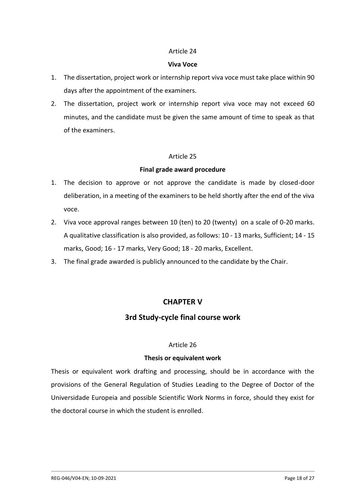#### **Viva Voce**

- 1. The dissertation, project work or internship report viva voce must take place within 90 days after the appointment of the examiners.
- 2. The dissertation, project work or internship report viva voce may not exceed 60 minutes, and the candidate must be given the same amount of time to speak as that of the examiners.

#### Article 25

# **Final grade award procedure**

- 1. The decision to approve or not approve the candidate is made by closed-door deliberation, in a meeting of the examiners to be held shortly after the end of the viva voce.
- 2. Viva voce approval ranges between 10 (ten) to 20 (twenty) on a scale of 0-20 marks. A qualitative classification is also provided, as follows: 10 - 13 marks, Sufficient; 14 - 15 marks, Good; 16 - 17 marks, Very Good; 18 - 20 marks, Excellent.
- 3. The final grade awarded is publicly announced to the candidate by the Chair.

# **CHAPTER V**

# **3rd Study-cycle final course work**

# Article 26

# **Thesis or equivalent work**

Thesis or equivalent work drafting and processing, should be in accordance with the provisions of the General Regulation of Studies Leading to the Degree of Doctor of the Universidade Europeia and possible Scientific Work Norms in force, should they exist for the doctoral course in which the student is enrolled.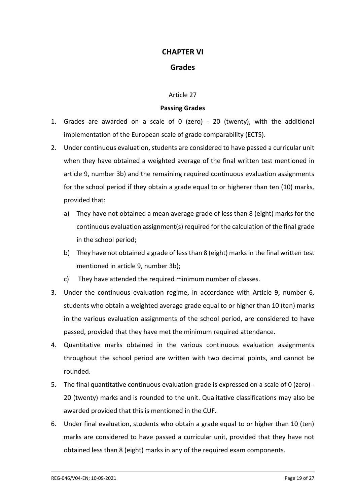# **CHAPTER VI**

# **Grades**

#### Article 27

#### **Passing Grades**

- 1. Grades are awarded on a scale of 0 (zero) 20 (twenty), with the additional implementation of the European scale of grade comparability (ECTS).
- 2. Under continuous evaluation, students are considered to have passed a curricular unit when they have obtained a weighted average of the final written test mentioned in article 9, number 3b) and the remaining required continuous evaluation assignments for the school period if they obtain a grade equal to or higherer than ten (10) marks, provided that:
	- a) They have not obtained a mean average grade of less than 8 (eight) marks for the continuous evaluation assignment(s) required for the calculation of the final grade in the school period;
	- b) They have not obtained a grade of less than 8 (eight) marks in the final written test mentioned in article 9, number 3b);
	- c) They have attended the required minimum number of classes.
- 3. Under the continuous evaluation regime, in accordance with Article 9, number 6, students who obtain a weighted average grade equal to or higher than 10 (ten) marks in the various evaluation assignments of the school period, are considered to have passed, provided that they have met the minimum required attendance.
- 4. Quantitative marks obtained in the various continuous evaluation assignments throughout the school period are written with two decimal points, and cannot be rounded.
- 5. The final quantitative continuous evaluation grade is expressed on a scale of 0 (zero) 20 (twenty) marks and is rounded to the unit. Qualitative classifications may also be awarded provided that this is mentioned in the CUF.
- 6. Under final evaluation, students who obtain a grade equal to or higher than 10 (ten) marks are considered to have passed a curricular unit, provided that they have not obtained less than 8 (eight) marks in any of the required exam components.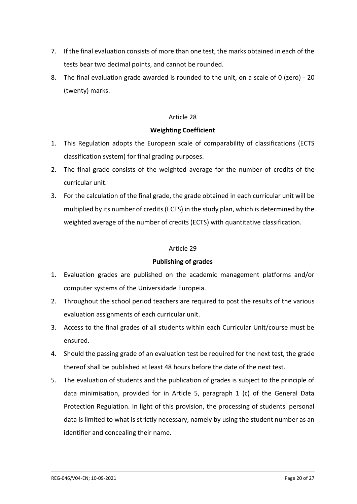- 7. If the final evaluation consists of more than one test, the marks obtained in each of the tests bear two decimal points, and cannot be rounded.
- 8. The final evaluation grade awarded is rounded to the unit, on a scale of 0 (zero) 20 (twenty) marks.

# **Weighting Coefficient**

- 1. This Regulation adopts the European scale of comparability of classifications (ECTS classification system) for final grading purposes.
- 2. The final grade consists of the weighted average for the number of credits of the curricular unit.
- 3. For the calculation of the final grade, the grade obtained in each curricular unit will be multiplied by its number of credits (ECTS) in the study plan, which is determined by the weighted average of the number of credits (ECTS) with quantitative classification.

# Article 29

# **Publishing of grades**

- 1. Evaluation grades are published on the academic management platforms and/or computer systems of the Universidade Europeia.
- 2. Throughout the school period teachers are required to post the results of the various evaluation assignments of each curricular unit.
- 3. Access to the final grades of all students within each Curricular Unit/course must be ensured.
- 4. Should the passing grade of an evaluation test be required for the next test, the grade thereof shall be published at least 48 hours before the date of the next test.
- 5. The evaluation of students and the publication of grades is subject to the principle of data minimisation, provided for in Article 5, paragraph 1 (c) of the General Data Protection Regulation. In light of this provision, the processing of students' personal data is limited to what is strictly necessary, namely by using the student number as an identifier and concealing their name.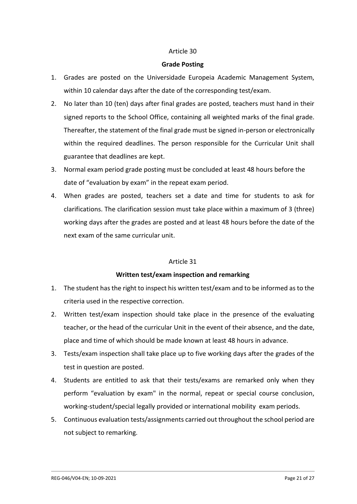#### **Grade Posting**

- 1. Grades are posted on the Universidade Europeia Academic Management System, within 10 calendar days after the date of the corresponding test/exam.
- 2. No later than 10 (ten) days after final grades are posted, teachers must hand in their signed reports to the School Office, containing all weighted marks of the final grade. Thereafter, the statement of the final grade must be signed in-person or electronically within the required deadlines. The person responsible for the Curricular Unit shall guarantee that deadlines are kept.
- 3. Normal exam period grade posting must be concluded at least 48 hours before the date of "evaluation by exam" in the repeat exam period.
- 4. When grades are posted, teachers set a date and time for students to ask for clarifications. The clarification session must take place within a maximum of 3 (three) working days after the grades are posted and at least 48 hours before the date of the next exam of the same curricular unit.

# Article 31

# **Written test/exam inspection and remarking**

- 1. The student has the right to inspect his written test/exam and to be informed as to the criteria used in the respective correction.
- 2. Written test/exam inspection should take place in the presence of the evaluating teacher, or the head of the curricular Unit in the event of their absence, and the date, place and time of which should be made known at least 48 hours in advance.
- 3. Tests/exam inspection shall take place up to five working days after the grades of the test in question are posted.
- 4. Students are entitled to ask that their tests/exams are remarked only when they perform "evaluation by exam" in the normal, repeat or special course conclusion, working-student/special legally provided or international mobility exam periods.
- 5. Continuous evaluation tests/assignments carried out throughout the school period are not subject to remarking.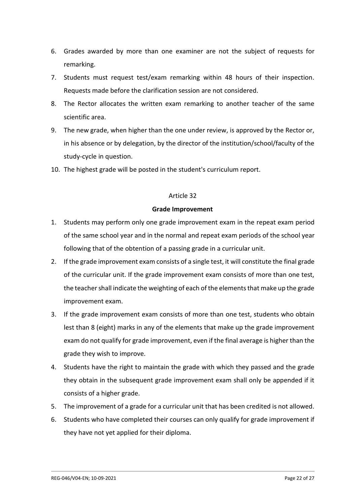- 6. Grades awarded by more than one examiner are not the subject of requests for remarking.
- 7. Students must request test/exam remarking within 48 hours of their inspection. Requests made before the clarification session are not considered.
- 8. The Rector allocates the written exam remarking to another teacher of the same scientific area.
- 9. The new grade, when higher than the one under review, is approved by the Rector or, in his absence or by delegation, by the director of the institution/school/faculty of the study-cycle in question.
- 10. The highest grade will be posted in the student's curriculum report.

# **Grade Improvement**

- 1. Students may perform only one grade improvement exam in the repeat exam period of the same school year and in the normal and repeat exam periods of the school year following that of the obtention of a passing grade in a curricular unit.
- 2. If the grade improvement exam consists of a single test, it will constitute the final grade of the curricular unit. If the grade improvement exam consists of more than one test, the teacher shall indicate the weighting of each of the elements that make up the grade improvement exam.
- 3. If the grade improvement exam consists of more than one test, students who obtain lest than 8 (eight) marks in any of the elements that make up the grade improvement exam do not qualify for grade improvement, even if the final average is higher than the grade they wish to improve.
- 4. Students have the right to maintain the grade with which they passed and the grade they obtain in the subsequent grade improvement exam shall only be appended if it consists of a higher grade.
- 5. The improvement of a grade for a curricular unit that has been credited is not allowed.
- 6. Students who have completed their courses can only qualify for grade improvement if they have not yet applied for their diploma.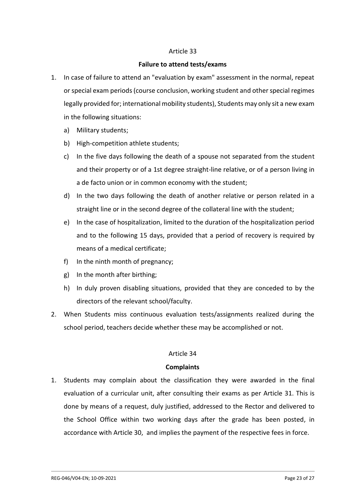#### **Failure to attend tests/exams**

- 1. In case of failure to attend an "evaluation by exam" assessment in the normal, repeat or special exam periods (course conclusion, working student and other special regimes legally provided for; international mobility students), Students may only sit a new exam in the following situations:
	- a) Military students;
	- b) High-competition athlete students;
	- c) In the five days following the death of a spouse not separated from the student and their property or of a 1st degree straight-line relative, or of a person living in a de facto union or in common economy with the student;
	- d) In the two days following the death of another relative or person related in a straight line or in the second degree of the collateral line with the student;
	- e) In the case of hospitalization, limited to the duration of the hospitalization period and to the following 15 days, provided that a period of recovery is required by means of a medical certificate;
	- f) In the ninth month of pregnancy;
	- g) In the month after birthing;
	- h) In duly proven disabling situations, provided that they are conceded to by the directors of the relevant school/faculty.
- 2. When Students miss continuous evaluation tests/assignments realized during the school period, teachers decide whether these may be accomplished or not.

# Article 34

# **Complaints**

1. Students may complain about the classification they were awarded in the final evaluation of a curricular unit, after consulting their exams as per Article 31. This is done by means of a request, duly justified, addressed to the Rector and delivered to the School Office within two working days after the grade has been posted, in accordance with Article 30, and implies the payment of the respective fees in force.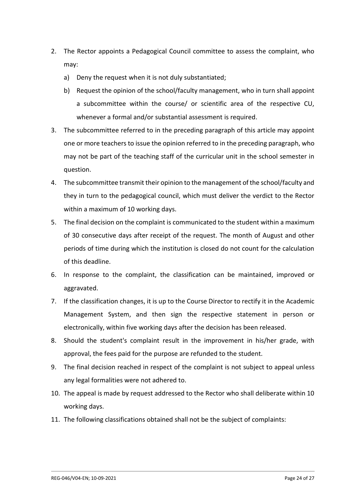- 2. The Rector appoints a Pedagogical Council committee to assess the complaint, who may:
	- a) Deny the request when it is not duly substantiated;
	- b) Request the opinion of the school/faculty management, who in turn shall appoint a subcommittee within the course/ or scientific area of the respective CU, whenever a formal and/or substantial assessment is required.
- 3. The subcommittee referred to in the preceding paragraph of this article may appoint one or more teachers to issue the opinion referred to in the preceding paragraph, who may not be part of the teaching staff of the curricular unit in the school semester in question.
- 4. The subcommittee transmit their opinion to the management of the school/faculty and they in turn to the pedagogical council, which must deliver the verdict to the Rector within a maximum of 10 working days.
- 5. The final decision on the complaint is communicated to the student within a maximum of 30 consecutive days after receipt of the request. The month of August and other periods of time during which the institution is closed do not count for the calculation of this deadline.
- 6. In response to the complaint, the classification can be maintained, improved or aggravated.
- 7. If the classification changes, it is up to the Course Director to rectify it in the Academic Management System, and then sign the respective statement in person or electronically, within five working days after the decision has been released.
- 8. Should the student's complaint result in the improvement in his/her grade, with approval, the fees paid for the purpose are refunded to the student.
- 9. The final decision reached in respect of the complaint is not subject to appeal unless any legal formalities were not adhered to.
- 10. The appeal is made by request addressed to the Rector who shall deliberate within 10 working days.
- 11. The following classifications obtained shall not be the subject of complaints: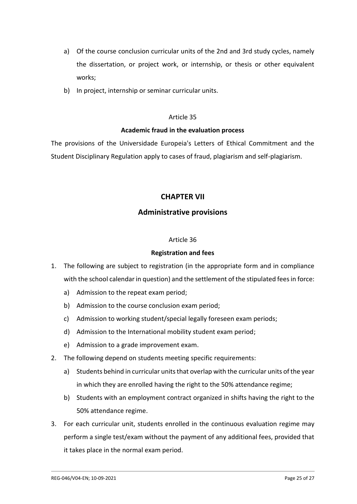- a) Of the course conclusion curricular units of the 2nd and 3rd study cycles, namely the dissertation, or project work, or internship, or thesis or other equivalent works;
- b) In project, internship or seminar curricular units.

# **Academic fraud in the evaluation process**

The provisions of the Universidade Europeia's Letters of Ethical Commitment and the Student Disciplinary Regulation apply to cases of fraud, plagiarism and self-plagiarism.

# **CHAPTER VII**

# **Administrative provisions**

#### Article 36

#### **Registration and fees**

- 1. The following are subject to registration (in the appropriate form and in compliance with the school calendar in question) and the settlement of the stipulated fees in force:
	- a) Admission to the repeat exam period;
	- b) Admission to the course conclusion exam period;
	- c) Admission to working student/special legally foreseen exam periods;
	- d) Admission to the International mobility student exam period;
	- e) Admission to a grade improvement exam.
- 2. The following depend on students meeting specific requirements:
	- a) Students behind in curricular units that overlap with the curricular units of the year in which they are enrolled having the right to the 50% attendance regime;
	- b) Students with an employment contract organized in shifts having the right to the 50% attendance regime.
- 3. For each curricular unit, students enrolled in the continuous evaluation regime may perform a single test/exam without the payment of any additional fees, provided that it takes place in the normal exam period.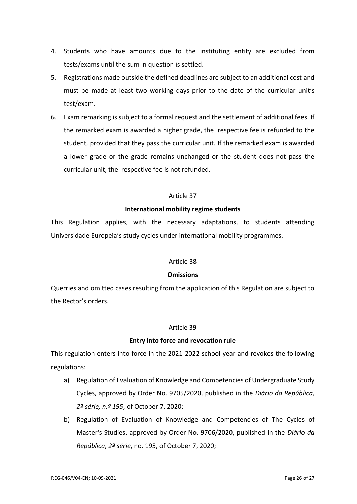- 4. Students who have amounts due to the instituting entity are excluded from tests/exams until the sum in question is settled.
- 5. Registrations made outside the defined deadlines are subject to an additional cost and must be made at least two working days prior to the date of the curricular unit's test/exam.
- 6. Exam remarking is subject to a formal request and the settlement of additional fees. If the remarked exam is awarded a higher grade, the respective fee is refunded to the student, provided that they pass the curricular unit. If the remarked exam is awarded a lower grade or the grade remains unchanged or the student does not pass the curricular unit, the respective fee is not refunded.

# **International mobility regime students**

This Regulation applies, with the necessary adaptations, to students attending Universidade Europeia's study cycles under international mobility programmes.

# Article 38

# **Omissions**

Querries and omitted cases resulting from the application of this Regulation are subject to the Rector's orders.

# Article 39

# **Entry into force and revocation rule**

This regulation enters into force in the 2021-2022 school year and revokes the following regulations:

- a) Regulation of Evaluation of Knowledge and Competencies of Undergraduate Study Cycles, approved by Order No. 9705/2020, published in the *Diário da República, 2ª série, n.º 195*, of October 7, 2020;
- b) Regulation of Evaluation of Knowledge and Competencies of The Cycles of Master's Studies, approved by Order No. 9706/2020, published in the *Diário da República*, *2ª série*, no. 195, of October 7, 2020;